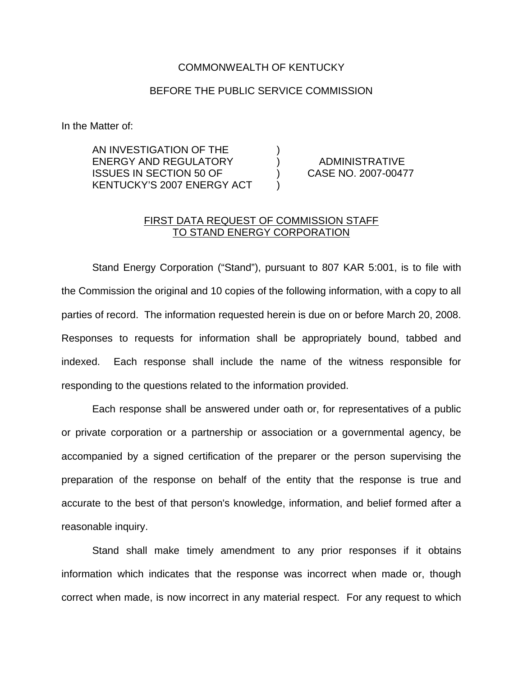## COMMONWEALTH OF KENTUCKY

## BEFORE THE PUBLIC SERVICE COMMISSION

In the Matter of:

AN INVESTIGATION OF THE ) ENERGY AND REGULATORY ) ADMINISTRATIVE ISSUES IN SECTION 50 OF ) CASE NO. 2007-00477 KENTUCKY'S 2007 ENERGY ACT )

## FIRST DATA REQUEST OF COMMISSION STAFF TO STAND ENERGY CORPORATION

Stand Energy Corporation ("Stand"), pursuant to 807 KAR 5:001, is to file with the Commission the original and 10 copies of the following information, with a copy to all parties of record. The information requested herein is due on or before March 20, 2008. Responses to requests for information shall be appropriately bound, tabbed and indexed. Each response shall include the name of the witness responsible for responding to the questions related to the information provided.

Each response shall be answered under oath or, for representatives of a public or private corporation or a partnership or association or a governmental agency, be accompanied by a signed certification of the preparer or the person supervising the preparation of the response on behalf of the entity that the response is true and accurate to the best of that person's knowledge, information, and belief formed after a reasonable inquiry.

Stand shall make timely amendment to any prior responses if it obtains information which indicates that the response was incorrect when made or, though correct when made, is now incorrect in any material respect. For any request to which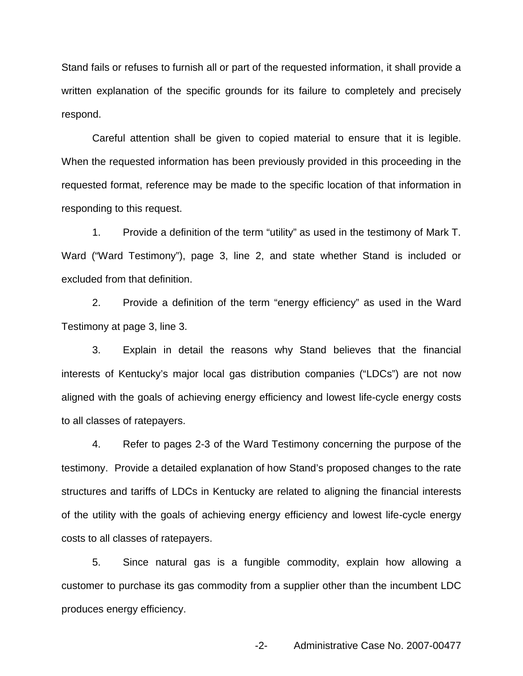Stand fails or refuses to furnish all or part of the requested information, it shall provide a written explanation of the specific grounds for its failure to completely and precisely respond.

Careful attention shall be given to copied material to ensure that it is legible. When the requested information has been previously provided in this proceeding in the requested format, reference may be made to the specific location of that information in responding to this request.

1. Provide a definition of the term "utility" as used in the testimony of Mark T. Ward ("Ward Testimony"), page 3, line 2, and state whether Stand is included or excluded from that definition.

2. Provide a definition of the term "energy efficiency" as used in the Ward Testimony at page 3, line 3.

3. Explain in detail the reasons why Stand believes that the financial interests of Kentucky's major local gas distribution companies ("LDCs") are not now aligned with the goals of achieving energy efficiency and lowest life-cycle energy costs to all classes of ratepayers.

4. Refer to pages 2-3 of the Ward Testimony concerning the purpose of the testimony. Provide a detailed explanation of how Stand's proposed changes to the rate structures and tariffs of LDCs in Kentucky are related to aligning the financial interests of the utility with the goals of achieving energy efficiency and lowest life-cycle energy costs to all classes of ratepayers.

5. Since natural gas is a fungible commodity, explain how allowing a customer to purchase its gas commodity from a supplier other than the incumbent LDC produces energy efficiency.